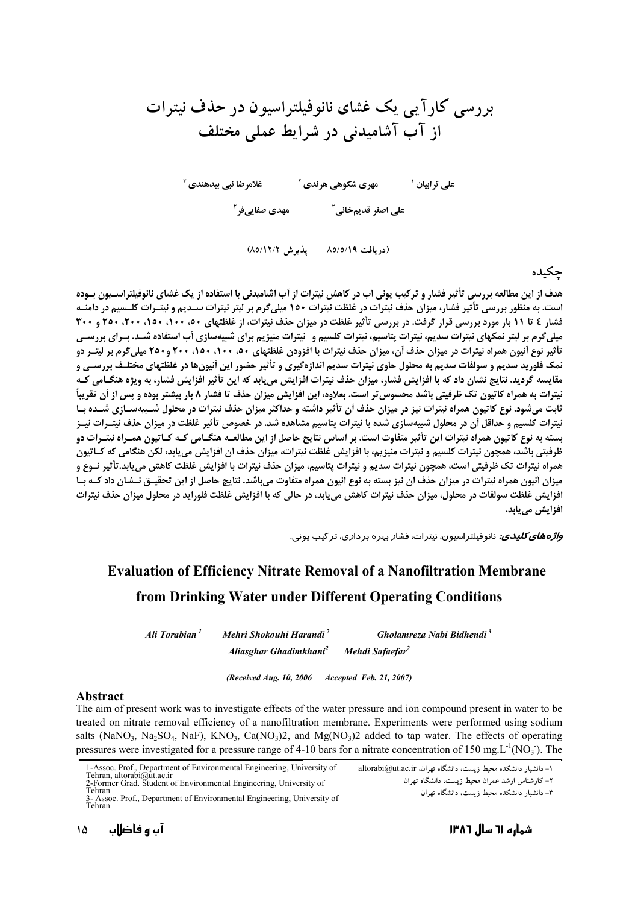بررسی کارآ پی یک غشای نانوفیلتراسیون در حذف نیترات از آب آشامیدنی در شرایط عملی مختلف

غلامرضا نبي بيدهندي آ مهری شکوهی هرندی آ علے ترابیان ' 

(دريافت ۸۵/٥/۱۹ - بذيرش ۸۵/١٢/۲)

چکیده

هدف از این مطالعه بررسی تأثیر فشار و ترکیب یونی آب در کاهش نیترات از آب آشامیدنی با استفاده از یک غشای نانوفیلتراسـیون بـوده است. به منظور بررسی تأثیر فشار، میزان حذف نیترات در غلظت نیترات ۱۵۰ میلی گرم بر لیتر نیترات سـدیم و نیتـرات کلـسیم در دامنـه فشار ٤ تا ١١ بار مورد بررسی قرار گرفت. در بررسی تأثیر غلظت در میزان حذف نیترات، از غلظتهای ٥٠، ١٠٠، ١٥٠، ٢٠٠، ٢٥٠ و ٣٠٠ میلیگرم بر لیتر نمکهای نیترات سدیم، نیترات پتاسیم، نیترات کلسیم و لیترات منیزیم برای شبیهسازی آب استفاده شـد. بـرای بررسـی تأثیر نوع آنیون همراه نیترات در میزان حذف آن، میزان حذف نیترات با افزودن غلظتهای ۵۰، ۱۰۰، ۲۵۰، ۲۰۰ و۲۵۰ میلی گرم بر لیت ردو نمک فلورید سدیم و سولفات سدیم به محلول حاوی نیترات سدیم اندازهگیری و تأثیر حضور این أنیونها در غلظتهای مختلـف بررسـی و مقایسه گردید. نتایج نشان داد که با افزایش فشار، میزان حذف نیترات افزایش می یابد که این تأثیر افزایش فشار، به ویژه هنگـامی کـه نیترات به همراه کاتیون تک ظرفیتی باشد محسوس تر است. بعلاوه، این افزایش میزان حذف تا فشار ۸ بار بیشتر بوده و پس از آن تقریباً ثابت میشود. نوع کاتیون همراه نیترات نیز در میزان حذف آن تأثیر داشته و حداکثر میزان حذف نیترات در محلول شـبیهسـازی شـده بـا نیترات کلسیم و حداقل آن در محلول شبیهسازی شده با نیترات پتاسیم مشاهده شد. در خصوص تأثیر غلظت در میزان حذف نیتـرات نیـز بسته به نوع کاتیون همراه نیترات این تأثیر متفاوت است. بر اساس نتایج حاصل از این مطالعـه هنگـامی کـه کـاتیون همـراه نیتـرات دو ظرفیتی باشد، همچون نیترات کلسیم و نیترات منیزیم، با افزایش غلظت نیترات، میزان حذف أن افزایش می یابد، لکن هنگامی که کـاتیون همراه نيترات تک ظرفيتي است، همچون نيترات سديم و نيترات پتاسيم، ميزان حذف نيترات با افزايش غلظت کاهش مي بايد.تأثير نـوع و میزان آنیون همراه نیترات در میزان حذف آن نیز بسته به نوع آنیون همراه متفاوت میباشد. نتایج حاصل از این تحقیــق نــشان داد کــه بــا افزایش غلظت سولفات در محلول، میزان حذف نیترات کاهش می یابد، در حالی که با افزایش غلظت فلوراید در محلول میزان حذف نیترات افزایش مییابد.

*واژههای کلیدی:* نانوفیلتراسیون، نیترات، فشار بهره بردا*ر*ی، تر کیب یونی.

# **Evaluation of Efficiency Nitrate Removal of a Nanofiltration Membrane** from Drinking Water under Different Operating Conditions

Mehri Shokouhi Harandi<sup>2</sup> Ali Torabian<sup>1</sup> Gholamreza Nabi Bidhendi<sup>3</sup> Aliasghar Ghadimkhani<sup>2</sup> Mehdi Safaefar<sup>2</sup>

(Received Aug. 10, 2006 Accepted Feb. 21, 2007)

#### Abstract

The aim of present work was to investigate effects of the water pressure and ion compound present in water to be treated on nitrate removal efficiency of a nanofiltration membrane. Experiments were performed using sodium salts (NaNO<sub>3</sub>, Na<sub>2</sub>SO<sub>4</sub>, NaF), KNO<sub>3</sub>, Ca(NO<sub>3</sub>)2, and Mg(NO<sub>3</sub>)2 added to tap water. The effects of operating pressures were investigated for a pressure range of 4-10 bars for a nitrate concentration of 150 mg.  $L^{-1}(NO_3)$ . The

1-Assoc. Prof., Department of Environmental Engineering, University of Tehran, altorabi@ut.ac.ir 2-Former Grad. Student of Environmental Engineering, University of Tehran

۱- دانشیار دانشکده محیط زیست. دانشگاه تهران. altorabi@ut.ac.ir

۲– کارشناس ارشد عمران محیط زیست، دانشگاه تهران

۳– دانشیار دانشکده محیط زیست، دانشگاه تهران

<sup>-</sup> Assoc. Prof., Department of Environmental Engineering, University of Tehran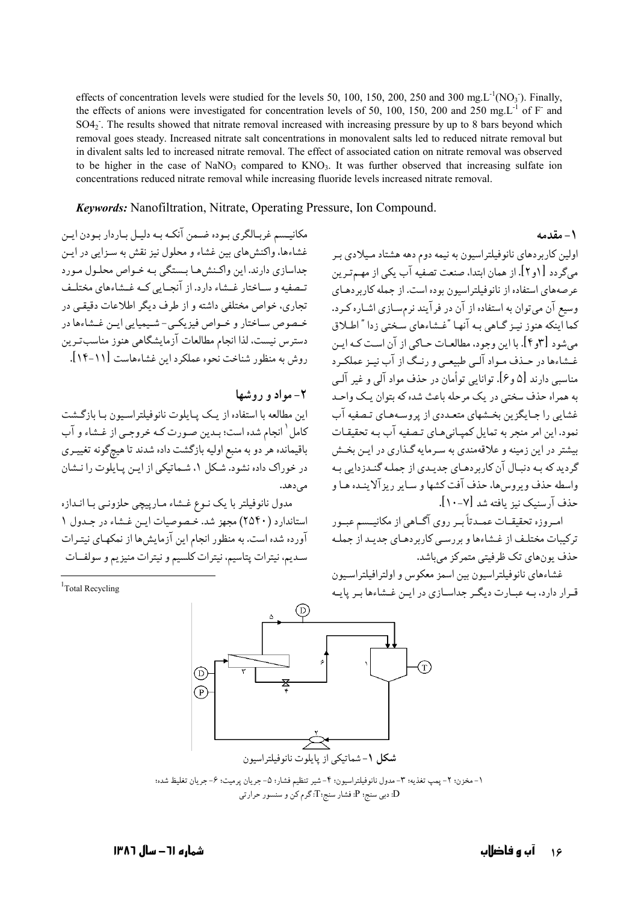effects of concentration levels were studied for the levels 50, 100, 150, 200, 250 and 300 mg.  $L^{-1}(NO_3)$ . Finally, the effects of anions were investigated for concentration levels of 50, 100, 150, 200 and 250 mg.L<sup>-1</sup> of F and SO4<sub>2</sub>. The results showed that nitrate removal increased with increasing pressure by up to 8 bars beyond which removal goes steady. Increased nitrate salt concentrations in monovalent salts led to reduced nitrate removal but in divalent salts led to increased nitrate removal. The effect of associated cation on nitrate removal was observed to be higher in the case of NaNO<sub>3</sub> compared to  $KNO_3$ . It was further observed that increasing sulfate ion concentrations reduced nitrate removal while increasing fluoride levels increased nitrate removal.

#### **Keywords:** Nanofiltration, Nitrate, Operating Pressure, Ion Compound.

مکانیـسم غربـالگرى بـوده ضـمن آنکـه بـه دلیـل بـاردار بـودن ایـن غشاءها، واکنش های بین غشاء و محلول نیز نقش به سـزایی در ایـن جداسازي دارند. اين واكـنش،هـا بـستگي بـه خـواص محلـول مـورد تبصفیه و سیاختار غیشاء دارد. از آنجیایی کپه غیشاءهای مختلیف تجاري، خواص مختلفې داشته و از طرف ديگر اطلاعات دقيقي در خبصوص بساختار و خبواص فیزیکبی- شبیمیایی این غیشاءها در دسترس نیست. لذا انجام مطالعات آزمایشگاهی هنوز مناسبترین روش به منظور شناخت نحوه عملکرد این غشاءهاست [۱۱-۱۴].

### ۲- مواد و روشها

اين مطالعه با استفاده از يـك پـايلوت نانوفيلتراسـيون بـا بازگـشت كامل ٰ انجام شده است؛ بـدين صـورت كـه خروجـي از غـشاء و آب باقیمانده هر دو به منبع اولیه بازگشت داده شدند تا هیچگونه تغییـری در خوراک داده نشود. شکل ۱، شماتیکی از این پایلوت را نـشان مى دهد.

مدول نانوفیلتر با یک نـوِع غـشاء مـارپیچی حلزونـی بـا انـدازه استاندارد (٢٥۴٠) مجهز شد. خصوصیات این غشاء در جدول ١ آورده شده است. به منظور انجام این آزمایش ها از نمکهـای نیتـرات سديم، نيترات پتاسيم، نيترات كلسيم و نيترات منيزيم و سولفــات

<sup>1</sup>Total Recycling



١- مخزن؛ ٢- پمپ تغذيه؛ ٣- مدول نانوفيلتراسيون؛ ۴- شير تنظيم فشار؛ ٥- جريان پرميت؛ ۶- جريان تغليظ شده؛ D: دبی سنج: P: فشار سنج:T: گرم کن و سنسور حرارتی

اولین کاربردهای نانوفیلتراسیون به نیمه دوم دهه هشتاد میلادی بر میگردد [۱و۲]. از همان ابتدا، صنعت تصفیه آب یکی از مهـمتـرین عرصههای استفاده از نانوفیلتراسیون بوده است. از جمله کاربردهـای وسیع آن میتوان به استفاده از آن در فرآیند نرمسـازی اشـاره کـرد. کما اینکه هنوز نیـز گـاهی بـه آنهـا "غـشاءهای سـختی زدا " اطـلاق می شود [۳و۴]. با این وجود، مطالعـات حـاکی از آن اسـت کـه ایـن غشاءها در حـذف مـواد آلـی طبیعـی و رنـگ از آب نیـز عملکـرد مناسبی دارند [۵ و ۶]. توانایی توأمان در حذف مواد آلی و غیر آلـی به همراه حذف سختی در یک مرحله باعث شده که بتوان یک واحید غشایی را جـایگزین بخـشهای متعـددی از پروسـههـای تـصفیه آب نمود. این امر منجر به تمایل کمپـانی هـای تـصفیه آب بـه تحقیقـات بیشتر در این زمینه و علاقهمندی به سـرمایه گـذاری در ایـن بخـش گردید که بـه دنبـال آن کاربردهـای جدیـدی از جملـه گنـدزدایی بـه واسطه حذف ويروس ها، حذف آفت كشها و ساير ريز آلاينـده هـا و حذف آرسنيک نيز بافته شد [٧-١٠].

۱ – مقدمه

امروزه تحقیقـات عمـدتاً بـر روی آگــاهی از مکانیــسم عبـور ترکیبات مختلف از غشاءها و بر رسبی کاربر دهبای جدیید از جملیه حذف یون های تک ظرفیتی متمرکز میباشد.

غشاءهاى نانوفيلتراسيون بين اسمز معكوس و اولترافيلتراسيون قـرار دارد، بـه عبـارت ديگـر جداسـازي در ايـن غـشاءها بـر يايـه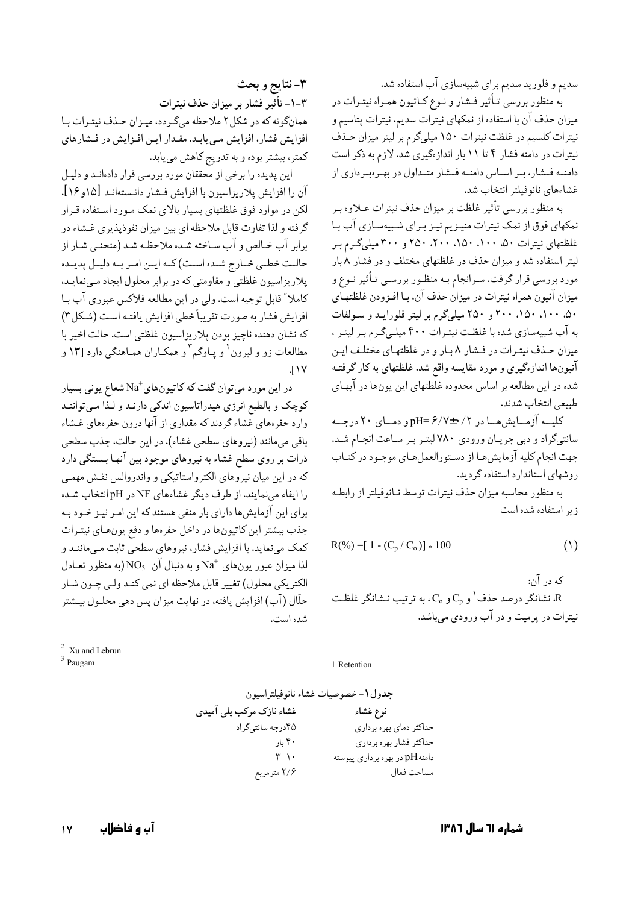سدیم و فلورید سدیم برای شبیهسازی آب استفاده شد.

به منظور بررسی تـأثیر فـشار و نـوع کـاتیون همـراه نیتـرات در میزان حذف آن با استفاده از نمکهای نیترات سدیم، نیترات پتاسیم و نیترات کلسیم در غلظت نیترات ۱۵۰ میلیگرم بر لیتر میزان حـذف نیترات در دامنه فشار ۴ تا ۱۱ بار اندازهگیری شد. لازم به ذکر است دامنــه فــشار، بــر اســاس دامنــه فــشار متــداول در بهــرهبـرداري از غشاءهاي نانوفيلتر انتخاب شد.

به منظور بررسی تأثیر غلظت بر میزان حذف نیترات عـلاوه بـر نمکهای فوق از نمک نیترات منیـزیم نیـز بـرای شـبیهسـازی آب بـا غلظتهای نیترات ۵۰، ۱۰۰، ۱۵۰، ۲۰۰، ۲۵۰ و ۳۰۰ میلیگرم بـر لیتر استفاده شد و میزان حذف در غلظتهای مختلف و در فشار ۸بار مورد بررسی قرار گرفت. سـرانجام بـه منظـور بررسـی تـأثیر نـوع و میزان آنیون همراه نیترات در میزان حذف آن، بـا افـزودن غلظتهـای ۵۰، ۱۰۰، ۱۵۰، ۲۰۰ و ۲۵۰ میلیگرم بر لیتر فلوراید و سولفات به آب شبیهسازی شده با غلظت نیترات ۴۰۰ میلیگرم بر لیتر ، میزان حـذف نیتـرات در فـشار ٨ بـار و در غلظتهـای مختلـف ایـن آنیونها اندازهگیری و مورد مقایسه واقع شد. غلظتهای به کار گرفتـه .<br>شده در این مطالعه بر اساس محدوده غلطتهای این یون&ا در آبهـای طبيعي انتخاب شدند.

کلیــه آزمــایش هــا در pH= ۶/۷±۰/۲ و دمــای ۲۰ درجــه سانتي گراد و دبي جريان ورودي ٧٨٠ ليتـر بـر سـاعت انجـام شـد. جهت انجام كليه آزمايش ها از دستورالعمل هاى موجود در كتـاب روشهای استاندارد استفاده گردید.

به منظور محاسبه میزان حذف نیترات توسط نـانوفیلتر از رابطـه زیر استفاده شده است

$$
R(\%) = [1 - (C_p / C_o)] * 100
$$
 (1)

که در آن:

شانگر درصد حذف  $\langle \, C_{\rm p} \, \rangle$  و  $\,$ ۰ به ترتیب نـشانگر غلظـت، R نیترات در پرمیت و در آب ورودی می باشد.

۳-نتايج و بحث ٣-١- تأثير فشار بر ميزان حذف نيترات همانگونه که در شکل۲ ملاحظه میگردد، میـزان حـذف نیتـرات بـا افزایش فشار، افزایش مـی یابـد. مقـدار ایـن افـزایش در فـشارهای کمتر، بیشتر بوده و به تدریج کاهش مییابد.

این پدیده را برخی از محققان مورد بررسی قرار دادهانـد و دلیـل آن را افزایش پلاریزاسیون با افزایش فشار دانستهانـد [۱۶و۱۶]. لکن در موارد فوق غلظتهای بسیار بالای نمک مـورد اسـتفاده قـرار گرفته و لذا تفاوت قابل ملاحظه ای بین میزان نفوذپذیری غشاء در برابر آب خـالص و آب سـاخته شـده ملاحظـه شـد (منحنـى شـار از حالـت خطـى خـارج شـده اسـت) كـه ايـن امـر بـه دليـل پديـده پلاریزاسیون غلظتی و مقاومتی که در برابر محلول ایجاد مبی نمایـد. كاملاً" قابل توجيه است. ولي در اين مطالعه فلاكس عبوري آب بـا افزايش فشار به صورت تقريباً خطي افزايش يافتـه اسـت (شـكل٣) که نشان دهنده ناچیز بودن پلاریزاسیون غلظتی است. حالت اخیر با مطالعات زو و لبرون<sup>٬</sup> و یـاوگم<sup>۳</sup> و همکـاران همـاهنگی دارد [۱۳ و  $\sqrt{11}$ 

در این مورد میتوان گفت که کاتیونهای $\mathrm{Na}^+$ شعاع یونی بسیار کوچک و بالطبع انرژی هیدراتاسیون اندکی دارنـد و لـذا مـیتواننـد وارد حفرههای غشاء گردند که مقداری از آنها درون حفرههای غشاء باقي مي،انند (نيروهاي سطحي غشاء). در اين حالت، جذب سطحي ذرات بر روی سطح غشاء به نیروهای موجود بین آنهـا بـستگی دارد که در این میان نیروهای الکترواستاتیکی و واندروالس نقـش مهمـی را ایفاء می نمایند. از طرف دیگر غشاءهای NF در pH انتخاب شده برای این آزمایشها دارای بار منفی هستند که این امـر نیـز خـود بـه جذب بيشتر اين كاتيونها در داخل حفرهها و دفع يونهـاي نيتـرات کمک می:ماید. با افزایش فشار، نیروهای سطحیّ ثابت مـیماننـد و لذا ميزان عبور يونهاي  $\mathrm{Na}^+$ و به دنبال آن  $\mathrm{NO_3}^{-}$  (به منظور تعـادل الكتريكي محلول) تغيير قابل ملاحظه اي نمي كنـد ولـي چـون شـار حلَّال (آب) افزایش یافته، در نهایت میزان پس دهی محلـول بیـشتر شده است.

 $2 \times$  Xu and Lebrun

 $3$  Paugam

1 Retention

| <b>جدول ۱</b> – خصوصیات غشاء نانوفیلتراسیور |  |
|---------------------------------------------|--|
|---------------------------------------------|--|

| غشاء نازک مرکب پلی آمیدی | نوع غشاء                             |
|--------------------------|--------------------------------------|
| ۴۵درجه سانتيگراد         | حداکثر دمای بهره برداری              |
| ۴۰ ما,                   | حداكثر فشار بهره برداري              |
| $r_{-1}$ .               | دامنه $\rm pH$ در بهره برداری پیوسته |
| ۲/۶ مترمربع              | مساحت فعال                           |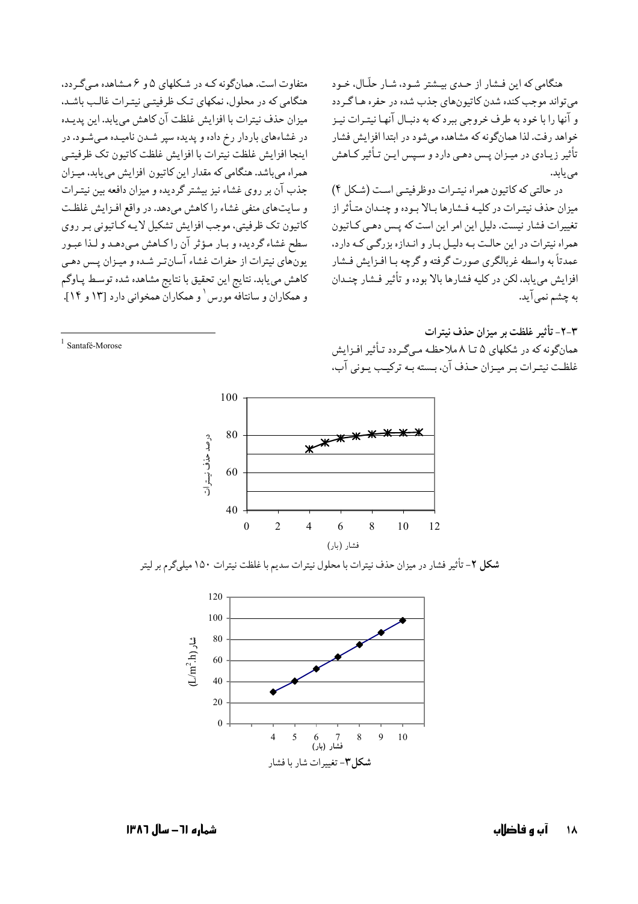هنگامی که این فشار از حـدی بیـشتر شـود، شـار حلّـال، خـود مي تواند موجب كنده شدن كاتيون هاي جذب شده در حفره هـا گـردد و آنها را با خود به طرف خروجی ببرد که به دنبـال آنهـا نيتـرات نيـز خواهد رفت. لذا همانگونه که مشاهده می شود در ابتدا افزایش فشار تأثیر زیـادی در میـزان پـس دهـی دارد و سـیس ایـن تـأثیر کـاهش می یابد.

در حالتي كه كاتيون همراه نيترات دوظرفيتـي است (شكل ۴) میزان حذف نیتـرات در کلیـه فـشارها بـالا بـوده و چنـدان متـأثر از تغییرات فشار نیست. دلیل این امر این است که پس دهبی کباتیون همراه نیترات در این حالت به دلیل بار و انـدازه بزرگـی کـه دارد، عمدتاً به واسطه غربالگرى صورت گرفته و گرچه بـا افـزايش فـشار افزايش مي يابد، لكن در كليه فشارها بالا بوده و تأثير فـشار چنـدان به چشم نمی آید.

متفاوت است. همانگونه کـه در شـکلهای ۵ و ۶ مـشاهده مـی گـردد، هنگامی که در محلول، نمکهای تـک ظرفیتـی نیتـرات غالـب باشـد. ميزان حذف نيترات با افزايش غلظت آن كاهش مي يابد. اين يديـده در غشاءهای باردار رخ داده و پدیده سپر شـدن نامیـده مـیشـود. در اينجا افزايش غلظت نيترات با افزايش غلظت كاتيون تك ظرفيتبي همراه می باشد. هنگامی که مقدار این کاتیون افزایش می یابد، میـزان جذب آن بر روی غشاء نیز بیشتر گردیده و میزان دافعه بین نیتـرات و سایتهای منفی غشاء را کاهش می دهد. در واقع افـزایش غلظـت كاتيون تك ظرفيتي، موجب افزايش تشكيل لايـه كـاتيوني بـر روى سطح غشاء گرديده و بـار مـؤثر آن راكـاهش مـىدهـد و لـذا عبـور یونهای نیترات از حفرات غشاء آسان تر شـده و میـزان پـس دهـی كاهش مي يابد. نتايج اين تحقيق با نتايج مشاهده شده توسط پـاوگم و همکاران و سانتافه مورس <sup>۱</sup> و همکاران همخوانی دارد [۱۳ و ۱۴].

 $\frac{1}{2}$  Santafé-Morose

٣-٢- تأثير غلظت بر ميزان حذف نيترات همانگونه که در شکلهای ۵ تــا ۸ ملاحظـه مــ گـر دد تـأثـر افـزایش غلظت نیتـرات بـر میـزان حـذف آن، بـسته بـه ترکیـب یـونی آب،



شکل ۲- تأثیر فشار در میزان حذف نیترات با محلول نیترات سدیم با غلظت نیترات ۱۵۰ میلیگرم بر لیتر



شماره ٦١ – سال ١٣٨٦

آں و فاضااں 18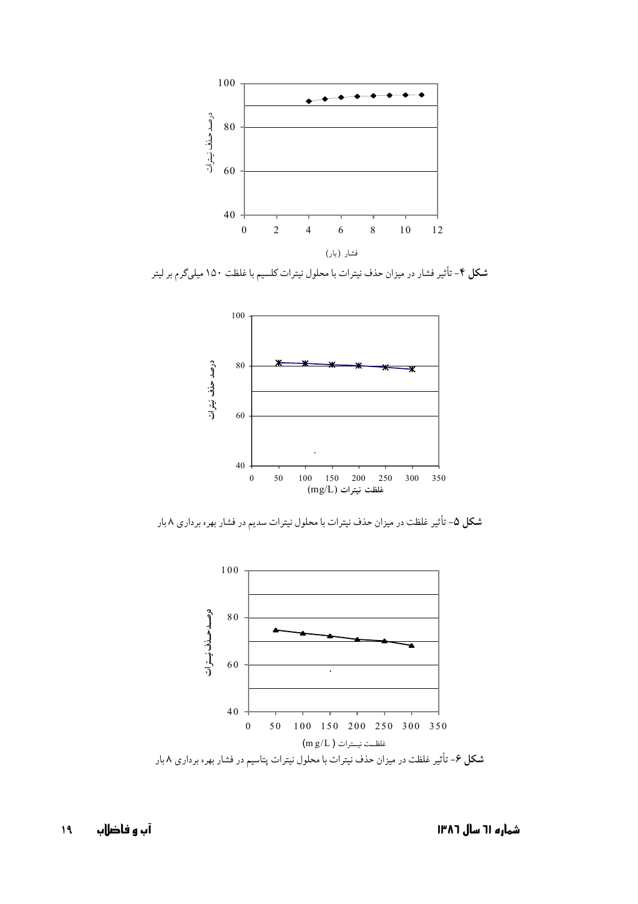

شکل ۴- تأثیر فشار در میزان حذف نیترات با محلول نیترات کلسیم با غلظت ۱۵۰ میلیگرم بر لیتر



شکل ۵- تأثیر غلظت در میزان حذف نیترات با محلول نیترات سدیم در فشار بهره برداری ۸ بار

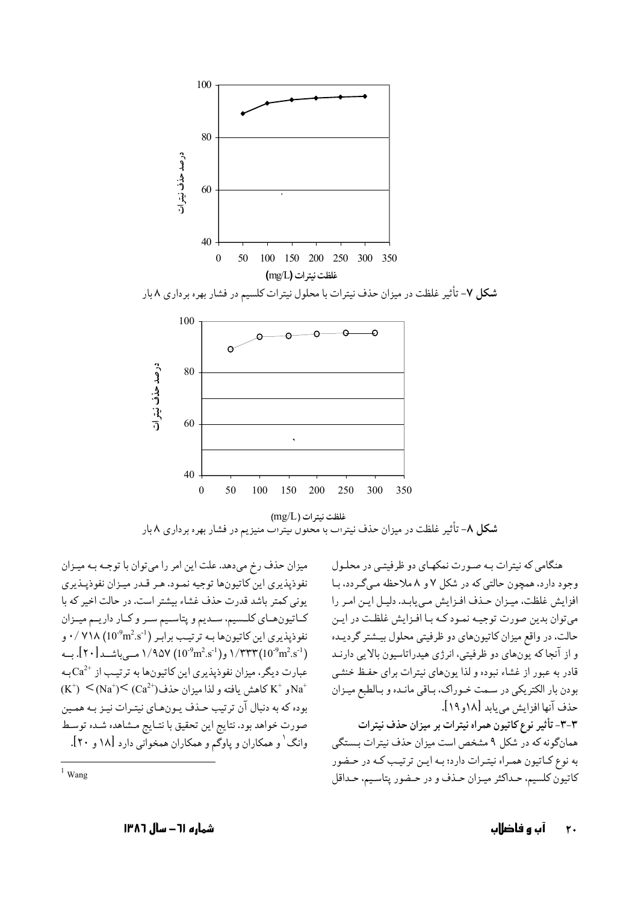

 $(mg/L)$  غلظت نيترات شکل ۸- تأثیر غلظت در میزان حذف نیترات با محلول نیترات منیز یم در فشار بهره برداری ۸ بار

میزان حذف رخ میدهد. علت این امر را می توان با توجـه بـه میـزان نفوذيذيري اين كاتيونها توجيه نمود. هـر قـدر ميـزان نفوذيـذيري یونی کمتر باشد قدرت حذف غشاء بیشتر است. در حالت اخیر که با كـاتيونهـاي كلـسيم، سـديم و پتاسـيم سـر و كـار داريــم ميــزان نفوذپذیری این کاتیونها بـه ترتیـب برابـر (1°10°10) ۰/ ۷۱۸ . (10°m<sup>2</sup>.s<sup>-1</sup>) ۱/۳۳۳ و(10°m<sup>2</sup>.s<sup>-1</sup>) ۱/۹۵۷ مـی باشــد [۲۰]. بــه عبارت دیگر، میزان نفوذیذیری این کاتیونها به ترتیب از  $\mathrm{Ca}^{2+}$ به  $(K^+) \leq (Na^+) \leq (Ca^{2+})$ و  $K^+$  كاهش يافته و لذا ميزان حذف $Ca^{2+}$ بوده که به دنبال آن ترتیب حـذف یـون&ـای نیتـرات نیـز بـه همـین صورت خواهد بود. نتايج اين تحقيق با نتـايج مـشاهده شـده توسـط وانگ ٰ و همکاران و پاوگم و همکاران همخوانی دارد [۱۸ و ۲۰].

هنگامی که نیترات بـه صـورت نمکهـای دو ظرفیتـی در محلـول وجود دارد، همچون حالتی که در شکل ۷ و ۸ ملاحظه مے گے دد، بـا افزایش غلظت، میزان حذف افزایش می یابد. دلیل این امر را می توان بدین صورت توجیـه نمـود کـه بـا افـزایش غلظـت در ایـن حالت، در واقع میزان کاتیونهای دو ظرفیتی محلول بیشتر گردیـده و از آنجا که پونهای دو ظرفیتی، انرژی هیدراتاسیون بالایی دارنـد قادر به عبور از غشاء نبوده و لذا یونهای نیترات برای حفظ خنثـی بودن بار الکتریکی در سمت خـوراک، بـاقی مانـده و بـالطبع میـزان حذف آنها افزايش مي بايد [١٨و ١٩]. ٣-٣- تأثير نوع كاتيون همراه نيترات بر ميزان حذف نيترات همانگونه كه در شكل ۹ مشخص است ميزان حذف نيترات بـستگي به نوع کـاتيون همـراه نيتـرات دارد؛ بـه ايـن ترتيـب کـه در حـضور كاتيون كلسيم، حـداكثر ميـزان حـذف و در حـضور پتاسـيم، حـداقل

 $1$  Wang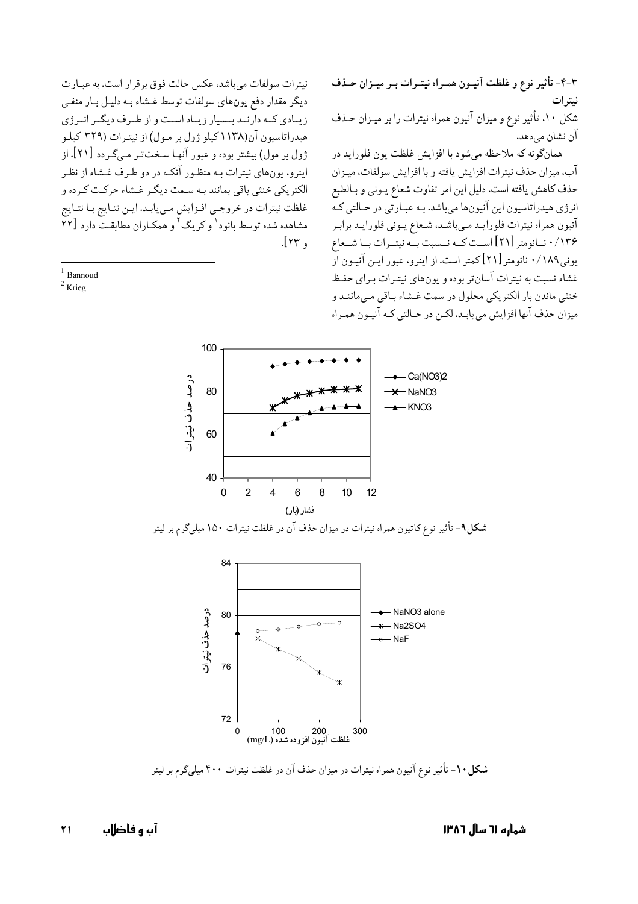۴-۳- تأثير نوع و غلظت آنيـون همـراه نيتـرات بـر ميـزان حـذف نيتر ات شکل ۱۰، تأثیر نوع و میزان آنیون همراه نیترات را بر میـزان حـذف آن نشان مے دھد.

همانگونه که ملاحظه مي شود با افزايش غلظت يون فلورايد در آب، ميزان حذف نيترات افزايش يافته و با افزايش سولفات، ميـزان حذف كاهش يافته است. دليل اين امر تفاوت شعاع يـوني و بـالطبع انرژی هیدراتاسیون این آنیونها میباشد. بـه عبـارتی در حـالتی کـه آنيون همراه نيترات فلورايـد مـىباشـد، شـعاع يـوني فلورايـد برابـر ۱۳۶/ ۰ نسانومتر [۲۱] اسـت کسه نسست بسه نیتسرات بسا شسعاع یونی۱۸۹/۰ نانومتر [۲۱] کمتر است. از اینرو، عبور ایـن آنیـون از غشاء نسبت به نیترات آسان تر بوده و یونهای نیتـرات بـرای حفـظ خنثي ماندن بار الكتريكي محلول در سمت غـشاء بـاقي مـي،ماننـد و میزان حذف آنها افزایش میbیابـد. لکـن در حـالتی کـه آنیـون همـراه

100 Ca(NO3)2 درصد حذف نيترات 80  $-$  NaNO3  $-KNOS$ 60 40 6  $\Omega$  $\overline{2}$  $\overline{4}$ 8  $10<sub>1</sub>$  $12$ فشار (بار)

 $.\mathsf{Irr}$ .

نیترات سولفات می باشد، عکس حالت فوق برقرار است. به عبـارت ديگر مقدار دفع يونهاي سولفات توسط غـشاء بـه دليـل بـار منفـي

زیبادی کبه دارنید بیسیار زیباد است و از طرف دیگیر انیرژی هیدراتاسیون آن(۱۱۳۸کیلو ژول بر مـول) از نیتـرات (۳۲۹ کیلـو

ژول بر مول) بیشتر بوده و عبور آنها سـخت تـر مـی گـردد [۲۱]. از اینرو، یونهای نیترات بـه منظـور آنکـه در دو طـرف غـشاء از نظـر

الکتریکی خنثی باقی بمانند بـه سـمت دیگـر غـشاء حرکـت کـر ده و

غلظت نيترات در خروجي افـزايش مـي يابـد. ايـن نتـايج بـا نتـايج

مشاهده شده توسط بانود' وكريگ ' و همكـاران مطابقـتّ دارد [۲۲

 $1$  Bannoud

 $2$  Krieg

شکل۹- تأثیر نوع کاتیون همراه نیترات در میزان حذف آن در غلظت نیترات ۱۵۰ میلیگرم بر لیتر



شکل ۱۰- تأثیر نوع آنیون همراه نیترات در میزان حذف آن در غلظت نیترات ۴۰۰ میلیگرم بر لیتر

 $\mathsf{r}_1$ آں و فاضلاں

شماره ا٦ سال ١٣٨٦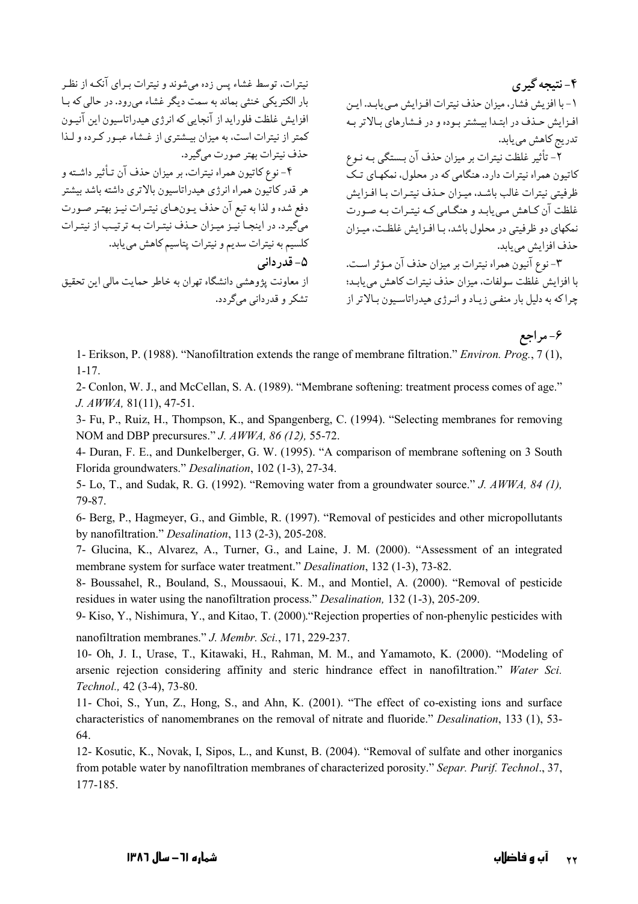نیترات، توسط غشاء پس زده می شوند و نیترات بیرای آنکـه از نظـر بار الکتریکی خنثی بماند به سمت دیگر غشاء می رود. در حالی که بـا افزایش غلظت فلوراید از آنجایی که انرژی هیدراتاسیون این آنیـون کمتر از نیترات است، به میزان بیشتری از غشاء عبور کرده و لـذا حذف نيترات بهتر صورت مي گيرد. ۴- نوع کاتیون همراه نیترات، بر میزان حذف آن تـأثیر داشـته و هر قدر كاتيون همراه انرژى هيدراتاسيون بالاترى داشته باشد بيشتر دفع شده و لذا به تبع آن حذف يـونهـاي نيتـرات نيـز بهتـر صـورت میگیرد. در اینجـا نیـز میـزان حـذف نیتـرات بـه ترتیـب از نیتـرات كلسيم به نيترات سديم و نيترات پتاسيم كاهش مي يابد. ۵- قدر دانی از معاونت یژوهشی دانشگاه تهران به خاطر حمایت مالی این تحقیق تشکر و قدردانی میگردد.

۴- نتيجه گير ي ١- با افزيش فشار، ميزان حذف نيترات افـزايش مـي يابـد. ايـن افزايش حذف در ابتدا بيشتر بوده و در فشارهاي بالاتر به تدریج کاهش می یابد.

۔<br>۲- تأثیر غلظت نیترات بر میزان حذف آن بـستگی بـه نـوع کاتیون همراه نیترات دارد. هنگامی که در محلول، نمکهبای تیک ظرفيتي نيترات غالب باشد، ميـزان حـذف نيتـرات بـا افـزايش غلظت آن کباهش می بابید و هنگیامی کبه نیتیرات بیه صورت نمکهای دو ظرفیتی در محلول باشد، بـا افـزایش غلظـت، میـزان حذف افزايش مي يابد.

۳- نوع آنیون همراه نیترات بر میزان حذف آن مـؤثر اسـت. با افزايش غلظت سولفات، ميزان حذف نيترات كاهش مي بابـد؛ چرا که به دلیل بار منفـی زیـاد و انـرژی هیدراتاسـیون بـالاتر از

۶- مراجع

1- Erikson, P. (1988). "Nanofiltration extends the range of membrane filtration." Environ. Prog., 7 (1),  $1 - 17$ .

2- Conlon, W. J., and McCellan, S. A. (1989). "Membrane softening: treatment process comes of age."  $J. AWWA, 81(11), 47-51.$ 

3- Fu, P., Ruiz, H., Thompson, K., and Spangenberg, C. (1994). "Selecting membranes for removing NOM and DBP precursures." J. AWWA, 86 (12), 55-72.

4- Duran, F. E., and Dunkelberger, G. W. (1995). "A comparison of membrane softening on 3 South Florida groundwaters." Desalination, 102 (1-3), 27-34.

5- Lo, T., and Sudak, R. G. (1992). "Removing water from a groundwater source." J. AWWA, 84 (1), 79-87

6- Berg, P., Hagmeyer, G., and Gimble, R. (1997). "Removal of pesticides and other micropollutants by nanofiltration." Desalination, 113 (2-3), 205-208.

7- Glucina, K., Alvarez, A., Turner, G., and Laine, J. M. (2000). "Assessment of an integrated membrane system for surface water treatment." *Desalination*, 132 (1-3), 73-82.

8- Boussahel, R., Bouland, S., Moussaoui, K. M., and Montiel, A. (2000). "Removal of pesticide residues in water using the nanofiltration process." *Desalination*, 132 (1-3), 205-209.

9- Kiso, Y., Nishimura, Y., and Kitao, T. (2000). "Rejection properties of non-phenylic pesticides with

nanofiltration membranes." J. Membr. Sci., 171, 229-237.

10- Oh, J. I., Urase, T., Kitawaki, H., Rahman, M. M., and Yamamoto, K. (2000). "Modeling of arsenic rejection considering affinity and steric hindrance effect in nanofiltration." Water Sci. Technol., 42 (3-4), 73-80.

11- Choi, S., Yun, Z., Hong, S., and Ahn, K. (2001). "The effect of co-existing ions and surface characteristics of nanomembranes on the removal of nitrate and fluoride." Desalination, 133 (1), 53-64

12- Kosutic, K., Novak, I, Sipos, L., and Kunst, B. (2004). "Removal of sulfate and other inorganics from potable water by nanofiltration membranes of characterized porosity." Separ. Purif. Technol., 37, 177-185.